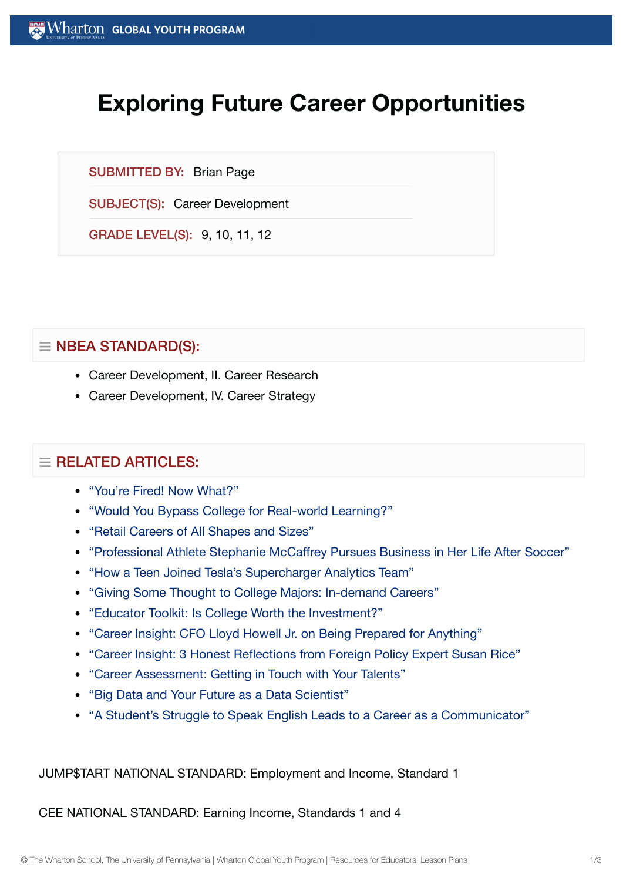## **Exploring Future Career Opportunities**

SUBMITTED BY: Brian Page

SUBJECT(S): Career Development

GRADE LEVEL(S): 9, 10, 11, 12

## $\equiv$  NBEA STANDARD(S):

- Career Development, II. Career Research
- Career Development, IV. Career Strategy

## $\equiv$  RELATED ARTICLES:

- "You're Fired! Now [What?"](https://globalyouth.wharton.upenn.edu/articles/youre-fired-now-what/)
- "Would You [Bypass College](https://globalyouth.wharton.upenn.edu/articles/bypass-college-for-real-world-learning/) for Real-world Learning?"
- "Retail Careers of All [Shapes and](https://globalyouth.wharton.upenn.edu/articles/retail-careers-shapes-sizes/) Sizes"
- "Professional Athlete Stephanie [McCaffrey Pursues Business in](https://globalyouth.wharton.upenn.edu/articles/us-womens-national-soccer-team-player-pursues-business/) Her Life After Soccer"
- "How a Teen Joined [Tesla's Supercharger](https://globalyouth.wharton.upenn.edu/articles/how-a-teen-joined-teslas-supercharger-analytics-team/) Analytics Team"
- "Giving Some Thought to College Majors: [In-demand](https://globalyouth.wharton.upenn.edu/articles/giving-some-thought-to-college-majors-in-demand-careers/) Careers"
- "Educator Toolkit: Is College Worth the [Investment?"](https://globalyouth.wharton.upenn.edu/articles/august-2018-educator-toolkit-college-worth-investment/)
- "Career Insight: CFO Lloyd Howell Jr. on Being Prepared for [Anything"](https://globalyouth.wharton.upenn.edu/articles/career-insight-cfo-lloyd-howell-jr-prepared-anything/)
- "Career Insight: 3 Honest [Reflections from](https://globalyouth.wharton.upenn.edu/articles/career-insight-3-honest-reflections-foreign-policy-specialist-susan-rice/) Foreign Policy Expert Susan Rice"
- "Career [Assessment:](https://globalyouth.wharton.upenn.edu/articles/career-assessment-getting-touch-talents/) Getting in Touch with Your Talents"
- "Big Data and Your Future as a Data [Scientist"](https://globalyouth.wharton.upenn.edu/articles/your-future-as-a-data/)
- "A [Student's Struggle](https://globalyouth.wharton.upenn.edu/articles/struggle-speak-english-better-communicator/) to Speak English Leads to a Career as a Communicator"

JUMP\$TART NATIONAL STANDARD: Employment and Income, Standard 1

CEE NATIONAL STANDARD: Earning Income, Standards 1 and 4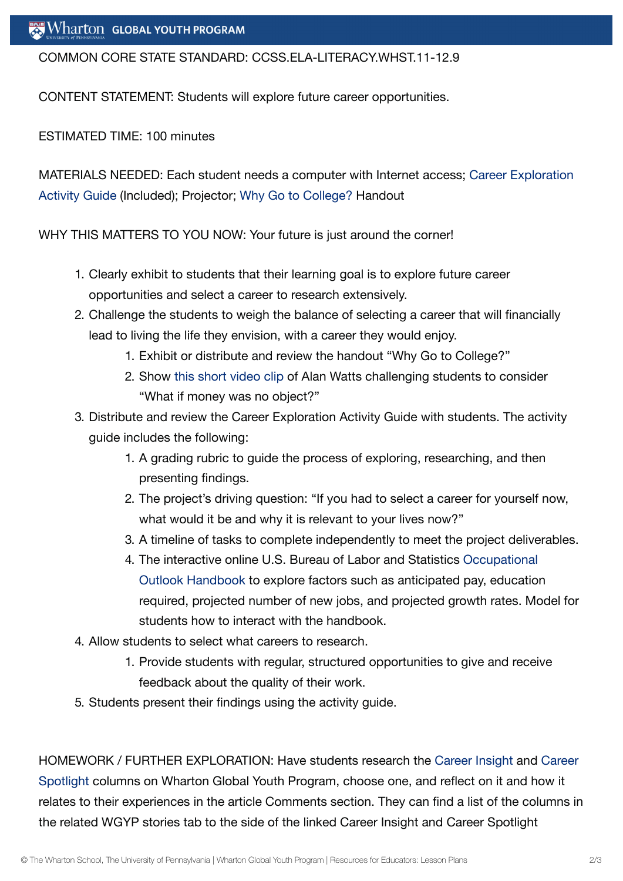COMMON CORE STATE STANDARD: CCSS.ELA-LITERACY.WHST.11-12.9

CONTENT STATEMENT: Students will explore future career opportunities.

ESTIMATED TIME: 100 minutes

MATERIALS NEEDED: Each student needs a computer with Internet access; Career Exploration [Activity Guide](https://globalyouth.wharton.upenn.edu/wp-content/uploads/2017/06/Career-Exploration-Activity-Guide.pdf) (Included); Projector; Why Go to [College?](https://globalyouth.wharton.upenn.edu/wp-content/uploads/2017/06/why-go-to-college.pdf) Handout

WHY THIS MATTERS TO YOU NOW: Your future is just around the corner!

- 1. Clearly exhibit to students that their learning goal is to explore future career opportunities and select a career to research extensively.
- 2. Challenge the students to weigh the balance of selecting a career that will financially lead to living the life they envision, with a career they would enjoy.
	- 1. Exhibit or distribute and review the handout "Why Go to College?"
	- 2. Show [this short](https://www.youtube.com/watch?v=uIaOrdgtUTI) video clip of Alan Watts challenging students to consider "What if money was no object?"
- 3. Distribute and review the Career Exploration Activity Guide with students. The activity guide includes the following:
	- 1. A grading rubric to guide the process of exploring, researching, and then presenting findings.
	- 2. The project's driving question: "If you had to select a career for yourself now, what would it be and why it is relevant to your lives now?"
	- 3. A timeline of tasks to complete independently to meet the project deliverables.
	- 4. The interactive online U.S. Bureau of Labor and [Statistics Occupational](http://www.bls.gov/ooh/) Outlook Handbook to explore factors such as anticipated pay, education required, projected number of new jobs, and projected growth rates. Model for students how to interact with the handbook.
- 4. Allow students to select what careers to research.
	- 1. Provide students with regular, structured opportunities to give and receive feedback about the quality of their work.
- 5. Students present their findings using the activity guide.

HOMEWORK / FURTHER EXPLORATION: Have [students research](https://globalyouth.wharton.upenn.edu/articles/careers-motion-capture-take-spotlight/) the Career [Insight](https://globalyouth.wharton.upenn.edu/articles/career-insight-white-house-speechwriter-sarah-hurwitz-becoming-strong-public-speaker-storyteller/) and Career Spotlight columns on Wharton Global Youth Program, choose one, and reflect on it and how it relates to their experiences in the article Comments section. They can find a list of the columns in the related WGYP stories tab to the side of the linked Career Insight and Career Spotlight